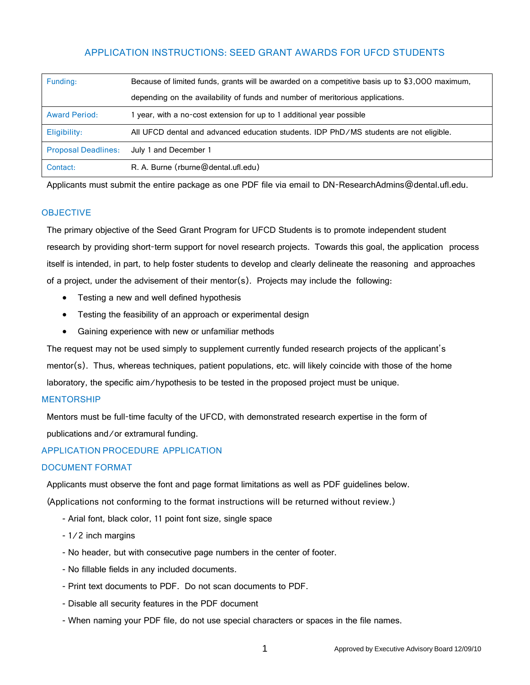# APPLICATION INSTRUCTIONS: SEED GRANT AWARDS FOR UFCD STUDENTS

| Funding:                   | Because of limited funds, grants will be awarded on a competitive basis up to \$3,000 maximum, |
|----------------------------|------------------------------------------------------------------------------------------------|
|                            | depending on the availability of funds and number of meritorious applications.                 |
| <b>Award Period:</b>       | 1 year, with a no-cost extension for up to 1 additional year possible                          |
| Eligibility:               | All UFCD dental and advanced education students. IDP PhD/MS students are not eligible.         |
| <b>Proposal Deadlines:</b> | July 1 and December 1                                                                          |
| Contact:                   | R. A. Burne (rburne@dental.ufl.edu)                                                            |

Applicants must submit the entire package as one PDF file via email to DN-ResearchAdmins@dental.ufl.edu.

# **OBJECTIVE**

The primary objective of the Seed Grant Program for UFCD Students is to promote independent student research by providing short-term support for novel research projects. Towards this goal, the application process itself is intended, in part, to help foster students to develop and clearly delineate the reasoning and approaches of a project, under the advisement of their mentor(s). Projects may include the following:

- Testing a new and well defined hypothesis
- Testing the feasibility of an approach or experimental design
- Gaining experience with new or unfamiliar methods

The request may not be used simply to supplement currently funded research projects of the applicant's mentor(s). Thus, whereas techniques, patient populations, etc. will likely coincide with those of the home laboratory, the specific aim/hypothesis to be tested in the proposed project must be unique.

# MENTORSHIP

Mentors must be full-time faculty of the UFCD, with demonstrated research expertise in the form of publications and/or extramural funding.

# APPLICATION PROCEDURE APPLICATION

# DOCUMENT FORMAT

Applicants must observe the font and page format limitations as well as PDF guidelines below.

(Applications not conforming to the format instructions will be returned without review.)

- Arial font, black color, 11 point font size, single space
- 1/2 inch margins
- No header, but with consecutive page numbers in the center of footer.
- No fillable fields in any included documents.
- Print text documents to PDF. Do not scan documents to PDF.
- Disable all security features in the PDF document
- When naming your PDF file, do not use special characters or spaces in the file names.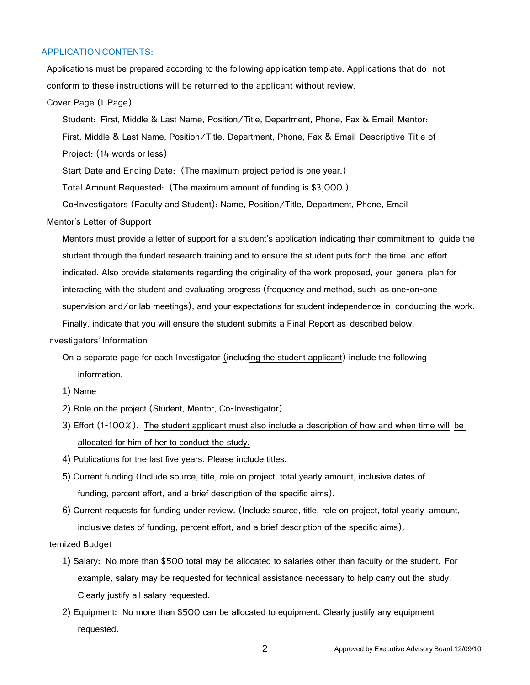### APPLICATION CONTENTS:

Applications must be prepared according to the following application template. Applications that do not conform to these instructions will be returned to the applicant without review.

#### Cover Page (1 Page)

Student: First, Middle & Last Name, Position/Title, Department, Phone, Fax & Email Mentor:

First, Middle & Last Name, Position/Title, Department, Phone, Fax & Email Descriptive Title of Project: (14 words or less)

Start Date and Ending Date: (The maximum project period is one year.)

Total Amount Requested: (The maximum amount of funding is \$3,000.)

Co-Investigators (Faculty and Student): Name, Position/Title, Department, Phone, Email

#### Mentor's Letter of Support

Mentors must provide a letter of support for a student's application indicating their commitment to guide the student through the funded research training and to ensure the student puts forth the time and effort indicated. Also provide statements regarding the originality of the work proposed, your general plan for interacting with the student and evaluating progress (frequency and method, such as one-on-one supervision and/or lab meetings), and your expectations for student independence in conducting the work.

Finally, indicate that you will ensure the student submits a Final Report as described below.

#### Investigators'Information

- On a separate page for each Investigator (including the student applicant) include the following information:
- 1) Name
- 2) Role on the project (Student, Mentor, Co-Investigator)
- 3) Effort (1-100%). The student applicant must also include a description of how and when time will be allocated for him of her to conduct the study.
- 4) Publications for the last five years. Please include titles.
- 5) Current funding (Include source, title, role on project, total yearly amount, inclusive dates of funding, percent effort, and a brief description of the specific aims).
- 6) Current requests for funding under review. (Include source, title, role on project, total yearly amount, inclusive dates of funding, percent effort, and a brief description of the specific aims).

### Itemized Budget

- 1) Salary: No more than \$500 total may be allocated to salaries other than faculty or the student. For example, salary may be requested for technical assistance necessary to help carry out the study. Clearly justify all salary requested.
- 2) Equipment: No more than \$500 can be allocated to equipment. Clearly justify any equipment requested.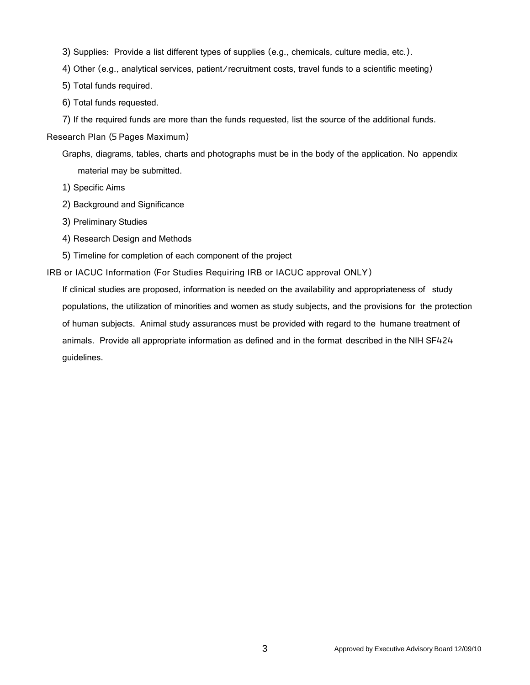- 3) Supplies: Provide a list different types of supplies (e.g., chemicals, culture media, etc.).
- 4) Other (e.g., analytical services, patient/recruitment costs, travel funds to a scientific meeting)
- 5) Total funds required.
- 6) Total funds requested.
- 7) If the required funds are more than the funds requested, list the source of the additional funds.

Research Plan (5 Pages Maximum)

- Graphs, diagrams, tables, charts and photographs must be in the body of the application. No appendix material may be submitted.
- 1) Specific Aims
- 2) Background and Significance
- 3) Preliminary Studies
- 4) Research Design and Methods
- 5) Timeline for completion of each component of the project

IRB or IACUC Information (For Studies Requiring IRB or IACUC approval ONLY)

If clinical studies are proposed, information is needed on the availability and appropriateness of study populations, the utilization of minorities and women as study subjects, and the provisions for the protection of human subjects. Animal study assurances must be provided with regard to the humane treatment of animals. Provide all appropriate information as defined and in the format described in the NIH SF424 guidelines.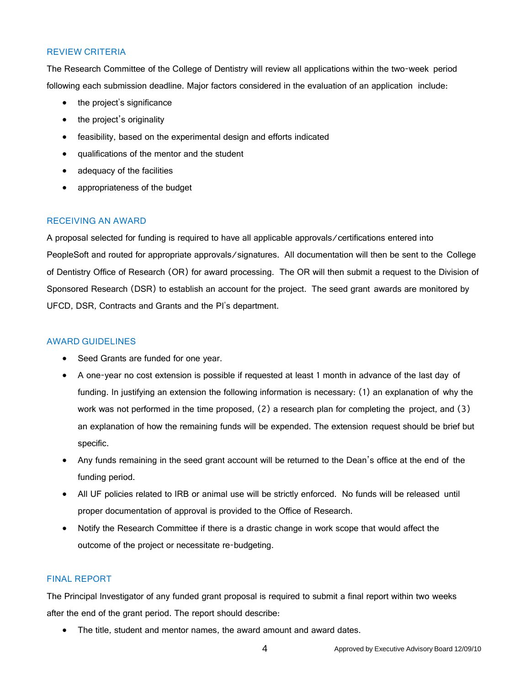# REVIEW CRITERIA

The Research Committee of the College of Dentistry will review all applications within the two-week period following each submission deadline. Major factors considered in the evaluation of an application include:

- the project's significance
- the project's originality
- feasibility, based on the experimental design and efforts indicated
- qualifications of the mentor and the student
- adequacy of the facilities
- appropriateness of the budget

# RECEIVING AN AWARD

A proposal selected for funding is required to have all applicable approvals/certifications entered into PeopleSoft and routed for appropriate approvals/signatures. All documentation will then be sent to the College of Dentistry Office of Research (OR) for award processing. The OR will then submit a request to the Division of Sponsored Research (DSR) to establish an account for the project. The seed grant awards are monitored by UFCD, DSR, Contracts and Grants and the PI's department.

### AWARD GUIDELINES

- Seed Grants are funded for one year.
- A one-year no cost extension is possible if requested at least 1 month in advance of the last day of funding. In justifying an extension the following information is necessary: (1) an explanation of why the work was not performed in the time proposed, (2) a research plan for completing the project, and (3) an explanation of how the remaining funds will be expended. The extension request should be brief but specific.
- Any funds remaining in the seed grant account will be returned to the Dean's office at the end of the funding period.
- All UF policies related to IRB or animal use will be strictly enforced. No funds will be released until proper documentation of approval is provided to the Office of Research.
- Notify the Research Committee if there is a drastic change in work scope that would affect the outcome of the project or necessitate re-budgeting.

### FINAL REPORT

The Principal Investigator of any funded grant proposal is required to submit a final report within two weeks after the end of the grant period. The report should describe:

• The title, student and mentor names, the award amount and award dates.